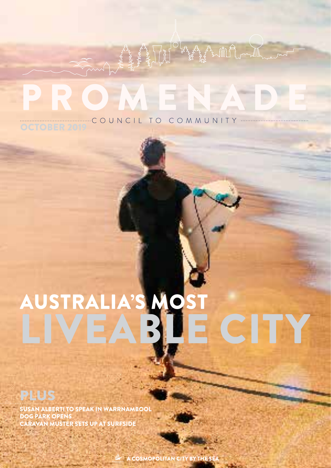## OMENA  $\blacksquare$ COUNCIL TO COMMUNITY

# AUSTRALIA'S MOST CITY L

SUSAN ALBERTI TO SPEAK IN WARRNAMBOOL DOG PARK OPENS **AN MUSTER SETS UP AT SURFSIDE** 

A COSMOPOLITAN CITY BY THE S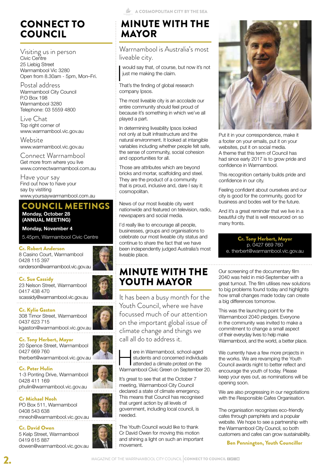## CONNECT TO COUNCIL

Visiting us in person Civic Centre 25 Liebig Street Warrnambool Vic 3280 Open from 8.30am - 5pm, Mon–Fri.

Postal address Warrnambool City Council P.O Box 198 Warrnambool 3280 Telephone: 03 5559 4800

Live Chat Top right corner of www.warrnambool.vic.gov.au

**Website** www.warrnambool.vic.gov.au

Connect Warrnambool Get more from where you live www.connectwarrnambool.com.au

Have your say Find out how to have your say by vistiting www.yoursaywarrnambool.com.au

## COUNCIL MEETINGS

**Monday, October 28 (ANNUAL MEETING)**

**Monday, November 4**

5.45pm, Warrnambool Civic Centre

#### Cr. Robert Anderson

8 Casino Court, Warrnambool 0428 115 397 randerson@warrnambool.vic.gov.au 



Cr. Sue Cassidy

23 Nelson Street, Warrnambool 0417 438 470 scassidy@warrnambool.vic.gov.au

#### Cr. Kylie Gaston

308 Timor Street, Warrnambool 0437 623 715 kgaston@warrnambool.vic.gov.au

Cr. Tony Herbert, Mayor 20 Spence Street, Warrnambool 0427 669 760 therbert@warrnambool.vic.gov.au

Cr. Peter Hulin

1-3 Ponting Drive, Warrnambool 0428 411 169 phulin@warrnambool.vic.gov.au

Cr Michael Neoh

PO Box 511, Warrnambool 0408 543 638 mneoh@warrnambool.vic.gov.au

### Cr. David Owen

5 Kelp Street, Warrnambool 0419 615 887 dowen@warrnambool.vic.gov.au

## MINUTE WITH THE MAYOR

Warrnambool is Australia's most liveable city.

I would say that, of course, but now<br>just me making the claim.<br>That's the finding of global research would say that, of course, but now it's not just me making the claim.

company Ipsos.

The most liveable city is an accolade our entire community should feel proud of because it's something in which we've all played a part.

In determining liveability Ipsos looked not only at built infrastructure and the natural environment. It looked at intangible variables including whether people felt safe, the sense of community, social cohesion and opportunities for all.

Those are attributes which are beyond bricks and mortar, scaffolding and steel. They are the product of a community that is proud, inclusive and, dare I say it: cosmopolitan.

News of our most liveable city went nationwide and featured on television, radio, newspapers and social media.

I'd really like to encourage all people, businesses, groups and organisations to celebrate our most liveable city status and continue to share the fact that we have been independently judged Australia's most liveable place.

## MINUTE WITH THE YOUTH MAYOR

It has been a busy month for the Youth Council, where we have focussed much of our attention on the important global issue of climate change and things we call all do to address it.

ere in Warrnambool, school-aged<br>students and concerned individua<br>attended a climate protest on the<br>Warrnambool Civic Green on September students and concerned individuals attended a climate protest on the Warrnambool Civic Green on September 20.

It's great to see that at the October 7 meeting, Warrnambool City Council declared a state of climate emergency. This means that Council has recognised that urgent action by all levels of government, including local council, is needed.

The Youth Council would like to thank Cr David Owen for moving this motion and shining a light on such an important movement.



Put it in your correspondence, make it a footer on your emails, put it on your websites, put it on social media. A theme that this term of Council has had since early 2017 is to grow pride and confidence in Warrnambool.

This recognition certainly builds pride and confidence in our city.

Feeling confident about ourselves and our city is good for the community, good for business and bodes well for the future.

And it's a great reminder that we live in a beautiful city that is well resourced on so many fronts.

Cr. Tony Herbert, Mayor p. 0427 669 760 e. therbert@warrnambool.vic.gov.au

Our screening of the documentary film 2040 was held in mid-September with a great turnout. The film utilises new solutions to big problems found today and highlights how small changes made today can create a big differences tomorrow.

This was the launching point for the Warrnambool 2040 pledges. Everyone in the community was invited to make a commitment to change a small aspect of their everyday lives to help make Warrnambool, and the world, a better place.

We currently have a few more projects in the works. We are revamping the Youth Council awards night to better reflect and encourage the youth of today. Please keep your eyes out, as nominations will be opening soon.

We are also progressing in our negotiations with the Responsible Cafes Organisation.

The organisation recognises eco-friendly cafes through pamphlets and a popular website. We hope to see a partnership with the Warrnambool City Council, so both customers and cafes can grow sustainability.

Ben Pennington, Youth Councillor



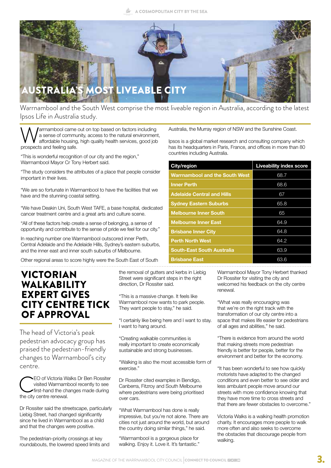

Warrnambool and the South West comprise the most liveable region in Australia, according to the latest Ipsos Life in Australia study.

**Warrnambool came out on top based on factors including**<br>a sense of community, access to the natural environment<br>prospects and feeling safe. a sense of community, access to the natural environment, affordable housing, high quality health services, good job prospects and feeling safe.

"This is wonderful recognition of our city and the region," Warrnambool Mayor Cr Tony Herbert said.

"The study considers the attributes of a place that people consider important in their lives.

"We are so fortunate in Warrnambool to have the facilities that we have and the stunning coastal setting.

"We have Deakin Uni, South West TAFE, a base hospital, dedicated cancer treatment centre and a great arts and culture scene.

"All of these factors help create a sense of belonging, a sense of opportunity and contribute to the sense of pride we feel for our city."

In reaching number one Warrnambool outscored inner Perth, Central Adelaide and the Adelaide Hills, Sydney's eastern suburbs, and the inner east and inner south suburbs of Melbourne.

Other regional areas to score highly were the South East of South

## VICTORIAN WALKABILITY EXPERT GIVES CITY CENTRE TICK OF APPROVAL

The head of Victoria's peak pedestrian advocacy group has praised the pedestrian-friendly changes to Warrnambool's city centre.

EO of Victoria Walks Dr Ben Rossiter<br>visited Warrnambool recently to see<br>first-hand the changes made during<br>the city centre renewal. visited Warrnambool recently to see first-hand the changes made during the city centre renewal.

Dr Rossiter said the streetscape, particularly Liebig Street, had changed significantly since he lived in Warrnambool as a child and that the changes were positive.

The pedestrian-priority crossings at key roundabouts, the lowered speed limits and Australia, the Murray region of NSW and the Sunshine Coast.

Ipsos is a global market research and consulting company which has its headquarters in Paris, France, and offices in more than 80 countries including Australia.

| City/region                           | <b>Liveability index score</b> |
|---------------------------------------|--------------------------------|
| <b>Warrnambool and the South West</b> | 68.7                           |
| <b>Inner Perth</b>                    | 68.6                           |
| <b>Adelaide Central and Hills</b>     | 67                             |
| <b>Sydney Eastern Suburbs</b>         | 65.8                           |
| <b>Melbourne Inner South</b>          | 65                             |
| <b>Melbourne Inner East</b>           | 64.9                           |
| <b>Brisbane Inner City</b>            | 64.8                           |
| <b>Perth North West</b>               | 64.2                           |
| <b>South-East South Australia</b>     | 63.9                           |
| <b>Brisbane East</b>                  | 63.6                           |

the removal of gutters and kerbs in Liebig Street were significant steps in the right direction, Dr Rossiter said.

"This is a massive change. It feels like Warrnambool now wants to park people. They want people to stay," he said.

"I certainly like being here and I want to stay. I want to hang around.

"Creating walkable communities is really important to create economically sustainable and strong businesses.

"Walking is also the most accessible form of exercise."

Dr Rossiter cited examples in Bendigo, Canberra, Fitzroy and South Melbourne where pedestrians were being prioritised over cars.

"What Warrnambool has done is really impressive, but you're not alone. There are cities not just around the world, but around the country doing similar things," he said.

"Warrnambool is a gorgeous place for walking. Enjoy it. Love it. It's fantastic." Warrnambool Mayor Tony Herbert thanked Dr Rossiter for visiting the city and welcomed his feedback on the city centre renewal.

"What was really encouraging was that we're on the right track with the transformation of our city centre into a space that makes life easier for pedestrians of all ages and abilities," he said.

"There is evidence from around the world that making streets more pedestrian friendly is better for people, better for the environment and better for the economy.

"It has been wonderful to see how quickly motorists have adapted to the changed conditions and even better to see older and less ambulant people move around our streets with more confidence knowing that they have more time to cross streets and that there are fewer obstacles to overcome."

Victoria Walks is a walking health promotion charity. It encourages more people to walk more often and also seeks to overcome the obstacles that discourage people from walking.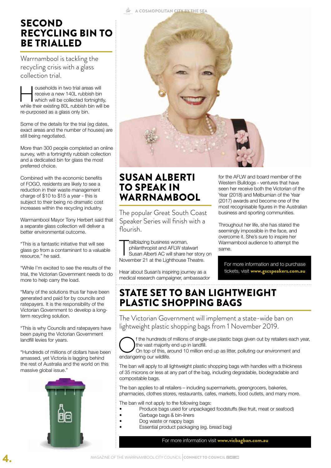## **SECOND** RECYCLING BIN TO BE TRIALLED

Warrnambool is tackling the recycling crisis with a glass collection trial.

ouseholds in two trial areas will<br>receive a new 140L rubbish bin<br>while their existing 80L rubbish bin will receive a new 140L rubbish bin which will be collected fortnightly, while their existing 80L rubbish bin will be re-purposed as a glass only bin.

Some of the details for the trial (eg dates, exact areas and the number of houses) are still being negotiated.

More than 300 people completed an online survey, with a fortnightly rubbish collection and a dedicated bin for glass the most preferred choice.

Combined with the economic benefits of FOGO, residents are likely to see a reduction in their waste management charge of \$10 to \$15 a year - this is subject to their being no dramatic cost increases within the recycling industry.

Warrnambool Mayor Tony Herbert said that a separate glass collection will deliver a better environmental outcome.

"This is a fantastic initiative that will see glass go from a contaminant to a valuable resource," he said.

"While I'm excited to see the results of the trial, the Victorian Government needs to do more to help carry the load.

"Many of the solutions thus far have been generated and paid for by councils and ratepayers. It is the responsibility of the Victorian Government to develop a longterm recycling solution.

"This is why Councils and ratepayers have been paying the Victorian Government landfill levies for years.

"Hundreds of millions of dollars have been amassed, yet Victoria is lagging behind the rest of Australia and the world on this massive global issue."



A COSMOPOLITAN CITY BY THE SEA



## SUSAN ALBERTI TO SPEAK IN WARRNAMBOOL

The popular Great South Coast Speaker Series will finish with a flourish.

Trailblazing business woman,<br>philanthropist and AFLW stalwart<br>Susan Alberti AC will share her story<br>November 21 at the Lighthouse Theatre. railblazing business woman, philanthropist and AFLW stalwart Susan Alberti AC will share her story on

Hear about Susan's inspiring journey as a medical research campaigner, ambassador for the AFLW and board member of the Western Bulldogs - ventures that have seen her receive both the Victorian of the Year (2018) and Melburnian of the Year (2017) awards and become one of the most recognisable figures in the Australian business and sporting communities.

Throughout her life, she has stared the seemingly impossible in the face, and overcome it. She's sure to inspire her Warrnambool audience to attempt the same.

For more information and to purchase tickets, visit www.gscspeakers.com.au

## STATE SET TO BAN LIGHTWEIGHT PLASTIC SHOPPING BAGS

The Victorian Government will implement a state-wide ban on lightweight plastic shopping bags from 1 November 2019.



f the hundreds of millions of single-use plastic bags given out by retailers each year, the vast majority end up in landfill.

On top of this, around 10 million end up as litter, polluting our environment and endangering our wildlife.

The ban will apply to all lightweight plastic shopping bags with handles with a thickness of 35 microns or less at any part of the bag, including degradable, biodegradable and compostable bags.

The ban applies to all retailers – including supermarkets, greengrocers, bakeries, pharmacies, clothes stores, restaurants, cafes, markets, food outlets, and many more.

The ban will not apply to the following bags:

- Produce bags used for unpackaged foodstuffs (like fruit, meat or seafood)
- Garbage bags & bin-liners
- Dog waste or nappy bags
	- Essential product packaging (eg. bread bag)

For more information visit www.vicbagban.com.au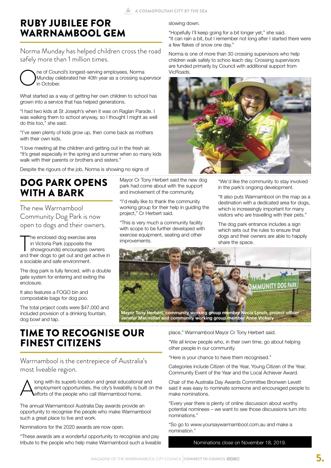Mayor Cr Tony Herbert said the new dog park had come about with the support and involvement of the community. "I'd really like to thank the community working group for their help in guiding the

"This is very much a community facility with scope to be further developed with exercise equipment, seating and other

project," Cr Herbert said.

improvements.

## RUBY JUBILEE FOR WARRNAMBOOL GEM

Norma Munday has helped children cross the road safely more than 1 million times.



What started as a way of getting her own children to school has grown into a service that has helped generations.

"I had two kids at St Joseph's when it was on Raglan Parade. I was walking them to school anyway, so I thought I might as well do this too," she said.

"I've seen plenty of kids grow up, then come back as mothers with their own kids.

"I love meeting all the children and getting out in the fresh air. "It's great especially in the spring and summer when so many kids walk with their parents or brothers and sisters."

Despite the rigours of the job, Norma is showing no signs of

## DOG PARK OPENS WITH A **BARK**

The new Warrnambool Community Dog Park is now open to dogs and their owners.

The enclosed dog exercise area<br>
in Victoria Park (opposite the<br>
showgrounds) encourages owners<br>
and their dogs to get out and get active in he enclosed dog exercise area in Victoria Park (opposite the showgrounds) encourages owners a sociable and safe environment.

The dog park is fully fenced, with a double gate system for entering and exiting the enclosure.

It also features a FOGO bin and compostable bags for dog poo.

The total project costs were \$47,000 and included provision of a drinking fountain, dog bowl and tap.

## TIME TO RECOGNISE OUR FINEST CITIZENS

Warrnambool is the centrepiece of Australia's most liveable region.

Along with its superb location and great educational and<br>employment opportunities, the city's liveability is built or<br>efforts of the people who call Warrnambool home. employment opportunities, the city's liveability is built on the efforts of the people who call Warrnambool home.

The annual Warrnambool Australia Day awards provide an opportunity to recognise the people who make Warrnambool such a great place to live and work.

Nominations for the 2020 awards are now open.

"These awards are a wonderful opportunity to recognise and pay tribute to the people who help make Warrnambool such a liveable

#### slowing down.

"Hopefully I'll keep going for a bit longer yet," she said. "It can rain a bit, but I remember not long after I started there were a few flakes of snow one day."

Norma is one of more than 30 crossing supervisors who help children walk safely to schoo leach day. Crossing supervisors are funded primarily by Council with additional support from VicRoads.



"We'd like the community to stay involved in the park's ongoing development.

"It also puts Warrnambool on the map as a destination with a dedicated area for dogs, which is increasingly important for many visitors who are travelling with their pets."

The dog park entrance includes a sign which sets out the rules to ensure that dogs and their owners are able to happily share the space.



place," Warrnambool Mayor Cr Tony Herbert said.

"We all know people who, in their own time, go about helping other people in our community.

"Here is your chance to have them recognised."

Categories include Citizen of the Year, Young Citizen of the Year, Community Event of the Year and the Local Achiever Award.

Chair of the Australia Day Awards Committee Bronwen Levett said it was easy to nominate someone and encouraged people to make nominations.

"Every year there is plenty of online discussion about worthy potential nominees – we want to see those discussions turn into nominations."

"So go to www.yoursaywarrnambool.com.au and make a nomination."

Nominations close on November 18, 2019.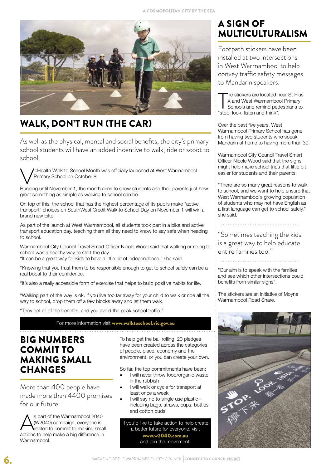

## WALK, DON'T RUN (THE CAR)

As well as the physical, mental and social benefits, the city's primary school students will have an added incentive to walk, ride or scoot to school.

**A**cHealth Walk to School Month was officially launched at West Warrnambool Primary School on October 8.

Running until November 1, the month aims to show students and their parents just how great something as simple as walking to school can be.

On top of this, the school that has the highest percentage of its pupils make "active transport" choices on SouthWest Credit Walk to School Day on November 1 will win a brand new bike.

As part of the launch at West Warrnambool, all students took part in a bike and active transport education day, teaching them all they need to know to say safe when heading to school.

Warrnambool City Council Travel Smart Officer Nicole Wood said that walking or riding to school was a healthy way to start the day.

"It can be a great way for kids to have a little bit of independence," she said.

"Knowing that you trust them to be responsible enough to get to school safely can be a real boost to their confidence.

"It's also a really accessible form of exercise that helps to build positive habits for life.

"Walking part of the way is ok. If you live too far away for your child to walk or ride all the way to school, drop them off a few blocks away and let them walk.

"They get all of the benefits, and you avoid the peak school traffic."

For more information visit www.walktoschool.vic.gov.au

## BIG NUMBERS COMMIT TO MAKING SMALL **CHANGES**

More than 400 people have made more than 4400 promises for our future.

S part of the Warrnambool 2040<br>
(W2040) campaign, everyone is<br>
actions to help make a big difference in (W2040) campaign, everyone is invited to commit to making small actions to help make a big difference in Warrnambool.

To help get the ball rolling, 20 pledges have been created across the categories of people, place, economy and the environment, or you can create your own.

So far, the top commitments have been:

- I will never throw food/organic waste in the rubbish
- I will walk or cycle for transport at least once a week
- I will say no to single use plastic including bags, straws, cups, bottles and cotton buds

If you'd like to take action to help create a better future for everyone, visit www.w2040.com.au and join the movement.

## A SIGN OF MULTICULTURALISM

Footpath stickers have been installed at two intersections in West Warrnambool to help convey traffic safety messages to Mandarin speakers.

The stickers are located r<br>
X and West Warrnambo<br>
Schools and remind pec<br>
"stop, look, listen and think". he stickers are located near St Pius X and West Warrnambool Primary Schools and remind pedestrians to

Over the past five years, West Warrnambool Primary School has gone from having two students who speak Mandarin at home to having more than 30.

Warrnambool City Council Travel Smart Officer Nicole Wood said that the signs might help make school trips that little bit easier for students and their parents.

"There are so many great reasons to walk to school, and we want to help ensure that West Warrnambool's growing population of students who may not have English as a first language can get to school safely," she said.

"Sometimes teaching the kids is a great way to help educate entire families too."

"Our aim is to speak with the families and see which other intersections could benefits from similar signs".

The stickers are an initiative of Moyne Warrnambool Road Share.

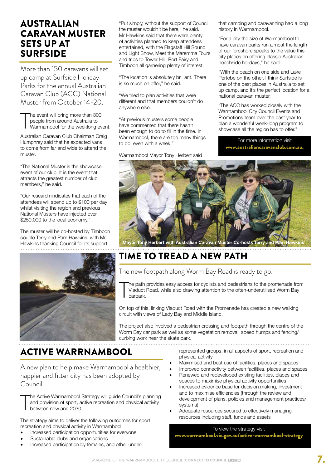## AUSTRALIAN CARAVAN MUSTER SETS UP AT SURFSIDE

More than 150 caravans will set up camp at Surfside Holiday Parks for the annual Australian Caravan Club (ACC) National Muster from October 14-20.

T he event will bring more than 300 people from around Australia to Warrnambool for the weeklong event.

Australian Caravan Club Chairman Craig Humphrey said that he expected vans to come from far and wide to attend the muster.

"The National Muster is the showcase event of our club. It is the event that attracts the greatest number of club members," he said.

"Our research indicates that each of the attendees will spend up to \$100 per day whilst visiting the region and previous National Musters have injected over \$250,000 to the local economy."

The muster will be co-hosted by Timboon couple Terry and Pam Hawkins, with Mr Hawkins thanking Council for its support.



"Put simply, without the support of Council, the muster wouldn't be here," he said. Mr Hawkins said that there were plenty of activities planned to keep attendees entertained, with the Flagstaff Hill Sound and Light Show, Meet the Maremma Tours and trips to Tower Hill, Port Fairy and Timboon all garnering plenty of interest.

"The location is absolutely brilliant. There is so much on offer," he said.

"We tried to plan activities that were different and that members couldn't do anywhere else.

"At previous musters some people have commented that there hasn't been enough to do to fill in the time. In Warrnambool, there are too many things to do, even with a week."

Warrnambool Mayor Tony Herbert said

that camping and caravanning had a long history in Warrnambool.

"For a city the size of Warrnambool to have caravan parks run almost the length of our foreshore speaks to the value this city places on offering classic Australian beachside holidays," he said.

"With the beach on one side and Lake Pertobe on the other, I think Surfside is one of the best places in Australia to set up camp, and it's the perfect location for a national caravan muster.

"The ACC has worked closely with the Warrnambool City Council Events and Promotions team over the past year to plan a wonderful week-long program to showcase all the region has to offer."

For more information visit www.australiancaravanclub.com.au.



## TIME TO TREAD A NEW PATH

The new footpath along Worm Bay Road is ready to go.

T he path provides easy access for cyclists and pedestrians to the promenade from Viaduct Road, while also drawing attention to the often-underutilised Worm Bay carpark.

On top of this, linking Viaduct Road with the Promenade has created a new walking circuit with views of Lady Bay and Middle Island.

The project also involved a pedestrian crossing and footpath through the centre of the Worm Bay car park as well as some vegetation removal, speed humps and fencing/ curbing work near the skate park.

## ACTIVE WARRNAMBOOL

A new plan to help make Warrnambool a healthier, happier and fitter city has been adopted by Council.

**T** he Active Warrnambool Strategy will guide Council's planning and provision of sport, active recreation and physical activity between now and 2030.

The strategy aims to deliver the following outcomes for sport, recreation and physical activity in Warrnambool:

- Increased participation opportunities for everyone
- Sustainable clubs and organisations
- Increased participation by females, and other under-

represented groups, in all aspects of sport, recreation and physical activity

- Maximised and best use of facilities, places and spaces
- Improved connectivity between facilities, places and spaces
- Renewed and redeveloped existing facilities, places and spaces to maximise physical activity opportunities
- Increased evidence base for decision making, investment and to maximise efficiencies (through the review and development of plans, policies and management practices/ systems)
- Adequate resources secured to effectively managing resources including staff, funds and assets

#### To view the strategy visit

www.warrnambool.vic.gov.au/active-warrnambool-strategy